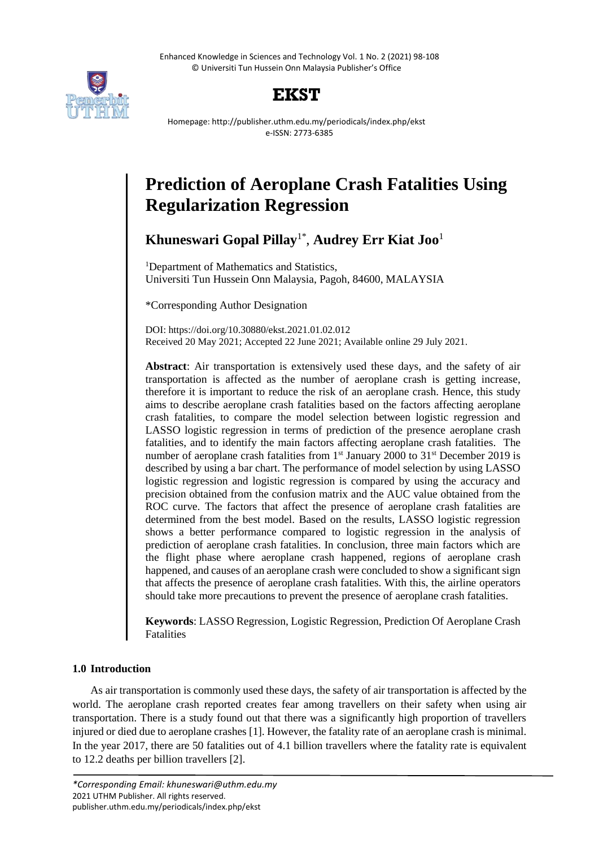Enhanced Knowledge in Sciences and Technology Vol. 1 No. 2 (2021) 98-108 © Universiti Tun Hussein Onn Malaysia Publisher's Office





Homepage: http://publisher.uthm.edu.my/periodicals/index.php/ekst e-ISSN: 2773-6385

# **Prediction of Aeroplane Crash Fatalities Using Regularization Regression**

**Khuneswari Gopal Pillay**1\* , **Audrey Err Kiat Joo**<sup>1</sup>

<sup>1</sup>Department of Mathematics and Statistics, Universiti Tun Hussein Onn Malaysia, Pagoh, 84600, MALAYSIA

\*Corresponding Author Designation

DOI: https://doi.org/10.30880/ekst.2021.01.02.012 Received 20 May 2021; Accepted 22 June 2021; Available online 29 July 2021.

**Abstract**: Air transportation is extensively used these days, and the safety of air transportation is affected as the number of aeroplane crash is getting increase, therefore it is important to reduce the risk of an aeroplane crash. Hence, this study aims to describe aeroplane crash fatalities based on the factors affecting aeroplane crash fatalities, to compare the model selection between logistic regression and LASSO logistic regression in terms of prediction of the presence aeroplane crash fatalities, and to identify the main factors affecting aeroplane crash fatalities. The number of aeroplane crash fatalities from 1<sup>st</sup> January 2000 to 31<sup>st</sup> December 2019 is described by using a bar chart. The performance of model selection by using LASSO logistic regression and logistic regression is compared by using the accuracy and precision obtained from the confusion matrix and the AUC value obtained from the ROC curve. The factors that affect the presence of aeroplane crash fatalities are determined from the best model. Based on the results, LASSO logistic regression shows a better performance compared to logistic regression in the analysis of prediction of aeroplane crash fatalities. In conclusion, three main factors which are the flight phase where aeroplane crash happened, regions of aeroplane crash happened, and causes of an aeroplane crash were concluded to show a significant sign that affects the presence of aeroplane crash fatalities. With this, the airline operators should take more precautions to prevent the presence of aeroplane crash fatalities.

**Keywords**: LASSO Regression, Logistic Regression, Prediction Of Aeroplane Crash Fatalities

# **1.0 Introduction**

As air transportation is commonly used these days, the safety of air transportation is affected by the world. The aeroplane crash reported creates fear among travellers on their safety when using air transportation. There is a study found out that there was a significantly high proportion of travellers injured or died due to aeroplane crashes [1]. However, the fatality rate of an aeroplane crash is minimal. In the year 2017, there are 50 fatalities out of 4.1 billion travellers where the fatality rate is equivalent to 12.2 deaths per billion travellers [2].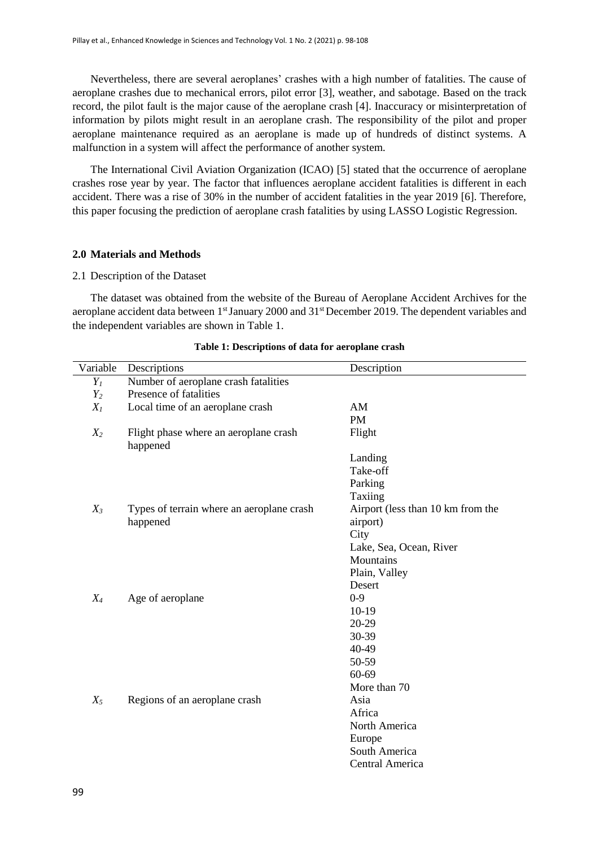Nevertheless, there are several aeroplanes' crashes with a high number of fatalities. The cause of aeroplane crashes due to mechanical errors, pilot error [3], weather, and sabotage. Based on the track record, the pilot fault is the major cause of the aeroplane crash [4]. Inaccuracy or misinterpretation of information by pilots might result in an aeroplane crash. The responsibility of the pilot and proper aeroplane maintenance required as an aeroplane is made up of hundreds of distinct systems. A malfunction in a system will affect the performance of another system.

The International Civil Aviation Organization (ICAO) [5] stated that the occurrence of aeroplane crashes rose year by year. The factor that influences aeroplane accident fatalities is different in each accident. There was a rise of 30% in the number of accident fatalities in the year 2019 [6]. Therefore, this paper focusing the prediction of aeroplane crash fatalities by using LASSO Logistic Regression.

#### **2.0 Materials and Methods**

#### 2.1 Description of the Dataset

The dataset was obtained from the website of the Bureau of Aeroplane Accident Archives for the aeroplane accident data between 1<sup>st</sup> January 2000 and 31<sup>st</sup> December 2019. The dependent variables and the independent variables are shown in Table 1.

| Variable | Descriptions                                      | Description                       |
|----------|---------------------------------------------------|-----------------------------------|
| $Y_I$    | Number of aeroplane crash fatalities              |                                   |
| $Y_2$    | Presence of fatalities                            |                                   |
| $X_I$    | Local time of an aeroplane crash                  | AM                                |
|          |                                                   | <b>PM</b>                         |
| $X_2$    | Flight phase where an aeroplane crash<br>happened | Flight                            |
|          |                                                   | Landing                           |
|          |                                                   | Take-off                          |
|          |                                                   | Parking                           |
|          |                                                   | Taxiing                           |
| $X_3$    | Types of terrain where an aeroplane crash         | Airport (less than 10 km from the |
|          | happened                                          | airport)                          |
|          |                                                   | City                              |
|          |                                                   | Lake, Sea, Ocean, River           |
|          |                                                   | Mountains                         |
|          |                                                   | Plain, Valley                     |
|          |                                                   | Desert                            |
| $X_4$    | Age of aeroplane                                  | $0 - 9$                           |
|          |                                                   | $10-19$                           |
|          |                                                   | 20-29                             |
|          |                                                   | 30-39                             |
|          |                                                   | 40-49                             |
|          |                                                   | 50-59                             |
|          |                                                   | 60-69                             |
|          |                                                   | More than 70                      |
| $X_5$    | Regions of an aeroplane crash                     | Asia                              |
|          |                                                   | Africa                            |
|          |                                                   | North America                     |
|          |                                                   | Europe                            |
|          |                                                   | South America                     |
|          |                                                   | Central America                   |

#### **Table 1: Descriptions of data for aeroplane crash**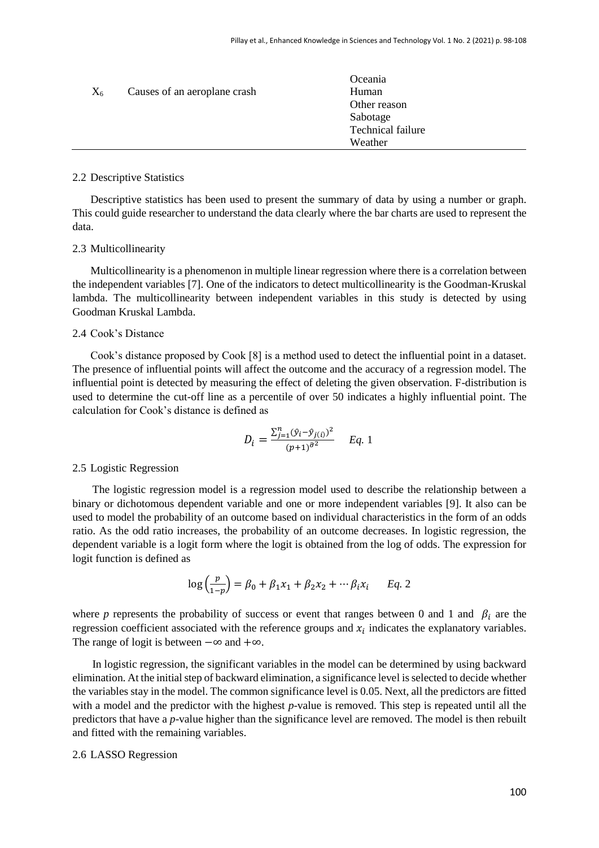| $X_6$ | Causes of an aeroplane crash | Oceania<br>Human<br>Other reason<br>Sabotage<br>Technical failure |  |
|-------|------------------------------|-------------------------------------------------------------------|--|
|       |                              | Weather                                                           |  |

#### 2.2 Descriptive Statistics

Descriptive statistics has been used to present the summary of data by using a number or graph. This could guide researcher to understand the data clearly where the bar charts are used to represent the data.

# 2.3 Multicollinearity

Multicollinearity is a phenomenon in multiple linear regression where there is a correlation between the independent variables [7]. One of the indicators to detect multicollinearity is the Goodman-Kruskal lambda. The multicollinearity between independent variables in this study is detected by using Goodman Kruskal Lambda.

# 2.4 Cook's Distance

Cook's distance proposed by Cook [8] is a method used to detect the influential point in a dataset. The presence of influential points will affect the outcome and the accuracy of a regression model. The influential point is detected by measuring the effect of deleting the given observation. F-distribution is used to determine the cut-off line as a percentile of over 50 indicates a highly influential point. The calculation for Cook's distance is defined as

$$
D_i = \frac{\sum_{j=1}^{n} (\hat{y}_i - \hat{y}_{j(i)})^2}{(p+1)^{\hat{\sigma}^2}} \quad Eq. 1
$$

# 2.5 Logistic Regression

The logistic regression model is a regression model used to describe the relationship between a binary or dichotomous dependent variable and one or more independent variables [9]. It also can be used to model the probability of an outcome based on individual characteristics in the form of an odds ratio. As the odd ratio increases, the probability of an outcome decreases. In logistic regression, the dependent variable is a logit form where the logit is obtained from the log of odds. The expression for logit function is defined as

$$
\log\left(\frac{p}{1-p}\right) = \beta_0 + \beta_1 x_1 + \beta_2 x_2 + \cdots \beta_i x_i \qquad Eq. 2
$$

where *p* represents the probability of success or event that ranges between 0 and 1 and  $\beta_i$  are the regression coefficient associated with the reference groups and  $x_i$  indicates the explanatory variables. The range of logit is between  $-\infty$  and  $+\infty$ .

In logistic regression, the significant variables in the model can be determined by using backward elimination. At the initial step of backward elimination, a significance level is selected to decide whether the variables stay in the model. The common significance level is 0.05. Next, all the predictors are fitted with a model and the predictor with the highest *p*-value is removed. This step is repeated until all the predictors that have a *p*-value higher than the significance level are removed. The model is then rebuilt and fitted with the remaining variables.

# 2.6 LASSO Regression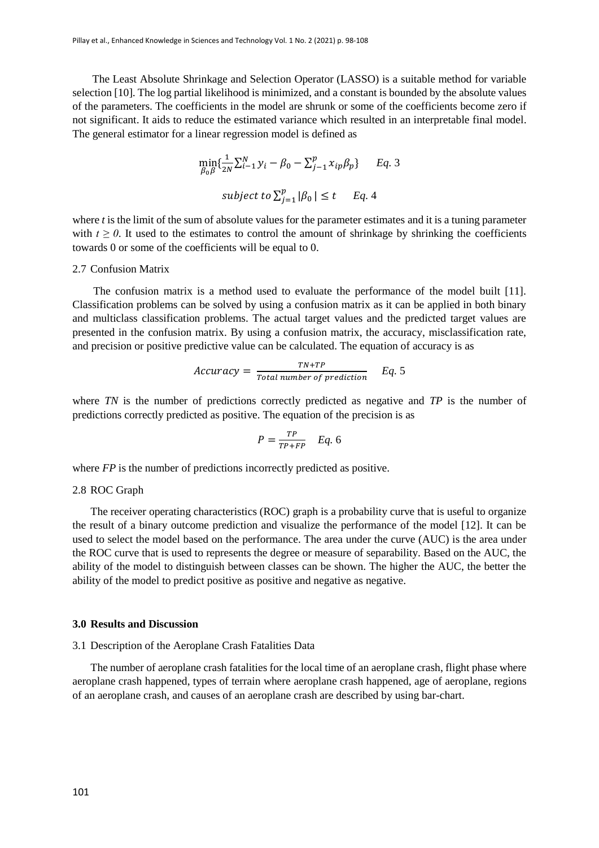The Least Absolute Shrinkage and Selection Operator (LASSO) is a suitable method for variable selection [10]. The log partial likelihood is minimized, and a constant is bounded by the absolute values of the parameters. The coefficients in the model are shrunk or some of the coefficients become zero if not significant. It aids to reduce the estimated variance which resulted in an interpretable final model. The general estimator for a linear regression model is defined as

$$
\min_{\beta_0 \beta} \{ \frac{1}{2N} \sum_{i=1}^{N} y_i - \beta_0 - \sum_{j=1}^{p} x_{ip} \beta_p \} \qquad Eq. 3
$$
  
subject to  $\sum_{j=1}^{p} |\beta_0| \le t \qquad Eq. 4$ 

where *t* is the limit of the sum of absolute values for the parameter estimates and it is a tuning parameter with  $t \ge 0$ . It used to the estimates to control the amount of shrinkage by shrinking the coefficients towards 0 or some of the coefficients will be equal to 0.

## 2.7 Confusion Matrix

The confusion matrix is a method used to evaluate the performance of the model built [11]. Classification problems can be solved by using a confusion matrix as it can be applied in both binary and multiclass classification problems. The actual target values and the predicted target values are presented in the confusion matrix. By using a confusion matrix, the accuracy, misclassification rate, and precision or positive predictive value can be calculated. The equation of accuracy is as

$$
Accuracy = \frac{TN + TP}{Total\ number\ of\ prediction} \qquad Eq. 5
$$

where *TN* is the number of predictions correctly predicted as negative and *TP* is the number of predictions correctly predicted as positive. The equation of the precision is as

$$
P = \frac{TP}{TP + FP} \quad Eq. 6
$$

where *FP* is the number of predictions incorrectly predicted as positive.

# 2.8 ROC Graph

The receiver operating characteristics (ROC) graph is a probability curve that is useful to organize the result of a binary outcome prediction and visualize the performance of the model [12]. It can be used to select the model based on the performance. The area under the curve (AUC) is the area under the ROC curve that is used to represents the degree or measure of separability. Based on the AUC, the ability of the model to distinguish between classes can be shown. The higher the AUC, the better the ability of the model to predict positive as positive and negative as negative.

#### **3.0 Results and Discussion**

#### 3.1 Description of the Aeroplane Crash Fatalities Data

The number of aeroplane crash fatalities for the local time of an aeroplane crash, flight phase where aeroplane crash happened, types of terrain where aeroplane crash happened, age of aeroplane, regions of an aeroplane crash, and causes of an aeroplane crash are described by using bar-chart.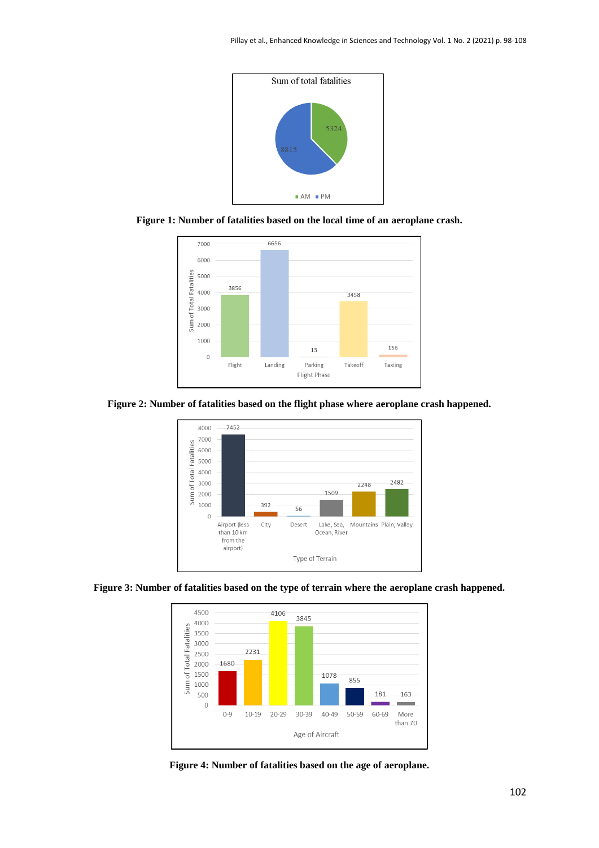

**Figure 1: Number of fatalities based on the local time of an aeroplane crash.**



**Figure 2: Number of fatalities based on the flight phase where aeroplane crash happened.**







**Figure 4: Number of fatalities based on the age of aeroplane.**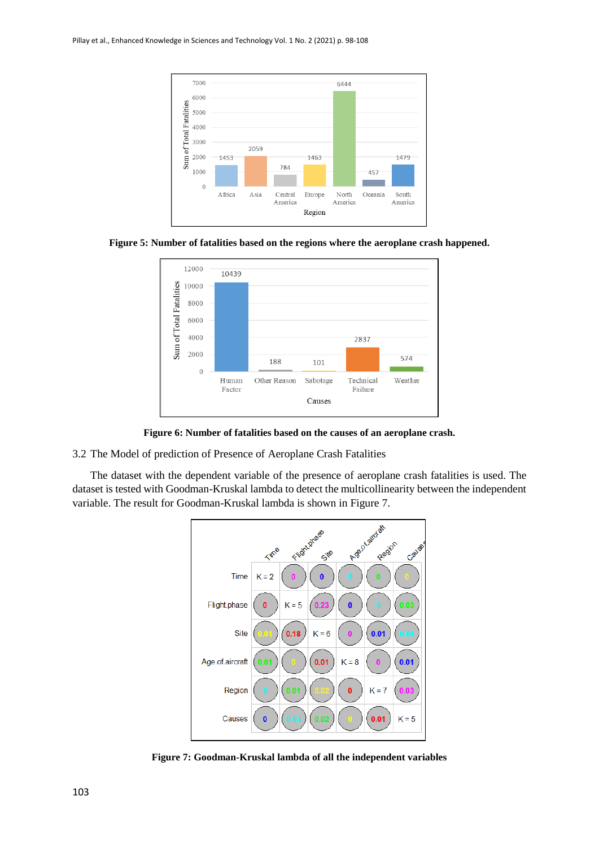





**Figure 6: Number of fatalities based on the causes of an aeroplane crash.**

3.2 The Model of prediction of Presence of Aeroplane Crash Fatalities

The dataset with the dependent variable of the presence of aeroplane crash fatalities is used. The dataset is tested with Goodman-Kruskal lambda to detect the multicollinearity between the independent variable. The result for Goodman-Kruskal lambda is shown in Figure 7.



**Figure 7: Goodman-Kruskal lambda of all the independent variables**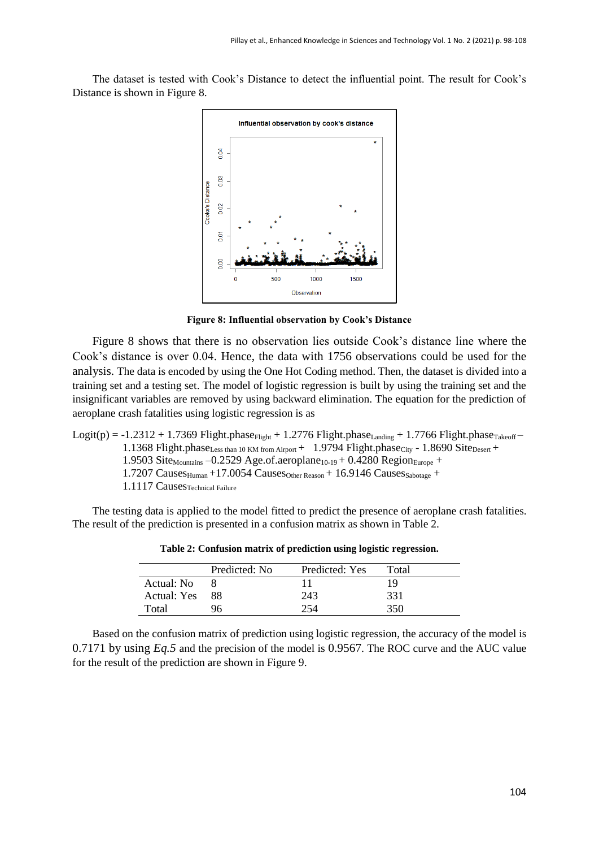The dataset is tested with Cook's Distance to detect the influential point. The result for Cook's Distance is shown in Figure 8.



**Figure 8: Influential observation by Cook's Distance**

Figure 8 shows that there is no observation lies outside Cook's distance line where the Cook's distance is over 0.04. Hence, the data with 1756 observations could be used for the analysis. The data is encoded by using the One Hot Coding method. Then, the dataset is divided into a training set and a testing set. The model of logistic regression is built by using the training set and the insignificant variables are removed by using backward elimination. The equation for the prediction of aeroplane crash fatalities using logistic regression is as

```
Logit(p) = -1.2312 + 1.7369 Flight.phase<sub>Flight</sub> + 1.2776 Flight.phase<sub>Landing</sub> + 1.7766 Flight.phase<sub>Takeoff</sub> –
    1.1368 Flight.phaseLess than 10 KM from Airport + 1.9794 Flight.phase<sub>City</sub> - 1.8690 Site<sub>Desert</sub> +
    1.9503 Site<sub>Mountains</sub> -0.2529 Age.of.aeroplane<sub>10-19</sub> + 0.4280 Region<sub>Europe</sub> +
    1.7207 Causes_{\text{Human}} +17.0054 Causes_{\text{Other Reason}} + 16.9146 Causes_{\text{Sabotage}} +
    1.1117 CausesTechnical Failure
```
The testing data is applied to the model fitted to predict the presence of aeroplane crash fatalities. The result of the prediction is presented in a confusion matrix as shown in Table 2.

|             | Predicted: No | Predicted: Yes | Total |
|-------------|---------------|----------------|-------|
| Actual: No  |               |                | 19    |
| Actual: Yes | 88.           | 243            | 331   |
| Total       |               |                | 350   |

**Table 2: Confusion matrix of prediction using logistic regression.**

Based on the confusion matrix of prediction using logistic regression, the accuracy of the model is 0.7171 by using *Eq.5* and the precision of the model is 0.9567. The ROC curve and the AUC value for the result of the prediction are shown in Figure 9.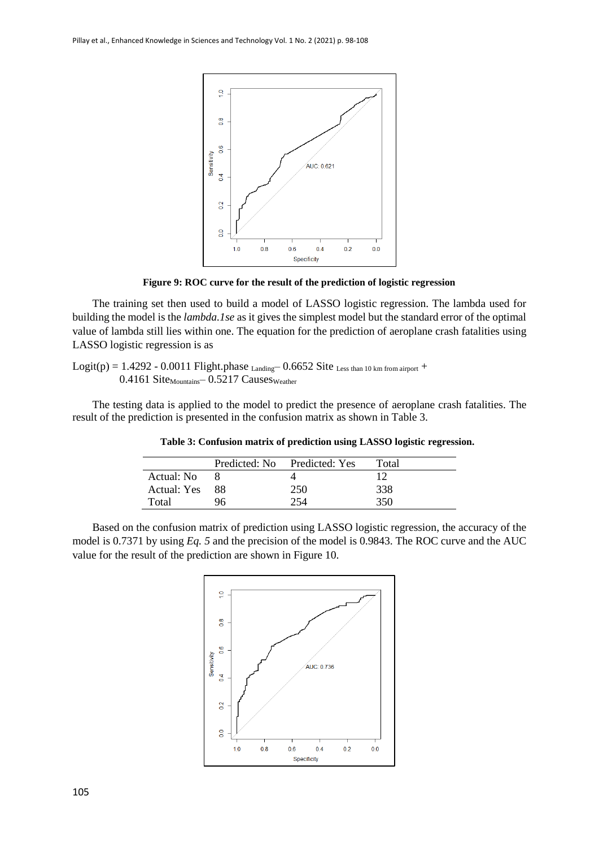

**Figure 9: ROC curve for the result of the prediction of logistic regression**

The training set then used to build a model of LASSO logistic regression. The lambda used for building the model is the *lambda.1se* as it gives the simplest model but the standard error of the optimal value of lambda still lies within one. The equation for the prediction of aeroplane crash fatalities using LASSO logistic regression is as

Logit(p) =  $1.4292 - 0.0011$  Flight.phase  $_{Landing}$  - 0.6652 Site Less than 10 km from airport +  $0.4161$  Site<sub>Mountains</sub>  $- 0.5217$  Causes<sub>Weather</sub>

The testing data is applied to the model to predict the presence of aeroplane crash fatalities. The result of the prediction is presented in the confusion matrix as shown in Table 3.

|             |      | Predicted: No Predicted: Yes | Total |
|-------------|------|------------------------------|-------|
| Actual: No  |      |                              |       |
| Actual: Yes | - 88 | 250                          | 338   |
| Total       |      |                              | 350.  |

**Table 3: Confusion matrix of prediction using LASSO logistic regression.**

Based on the confusion matrix of prediction using LASSO logistic regression, the accuracy of the model is 0.7371 by using *Eq. 5* and the precision of the model is 0.9843. The ROC curve and the AUC value for the result of the prediction are shown in Figure 10.

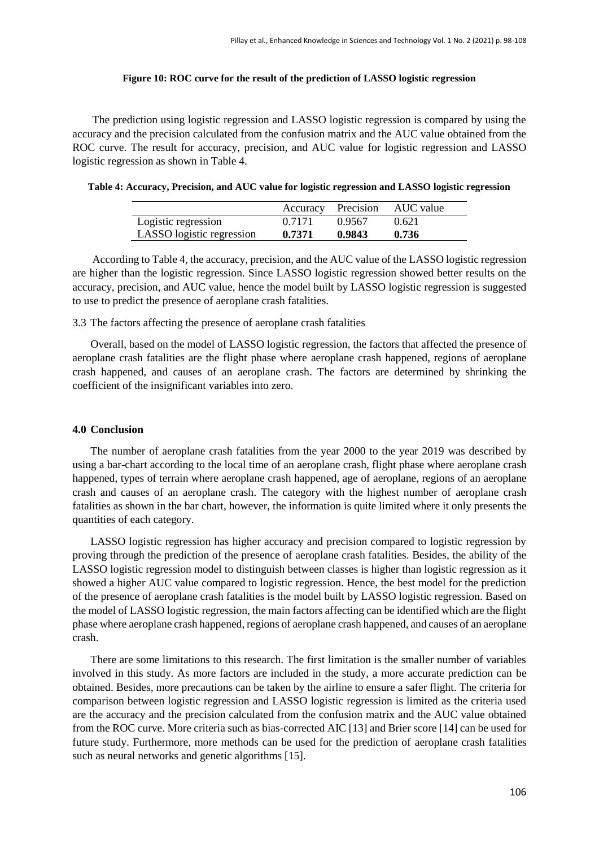#### **Figure 10: ROC curve for the result of the prediction of LASSO logistic regression**

The prediction using logistic regression and LASSO logistic regression is compared by using the accuracy and the precision calculated from the confusion matrix and the AUC value obtained from the ROC curve. The result for accuracy, precision, and AUC value for logistic regression and LASSO logistic regression as shown in Table 4.

**Table 4: Accuracy, Precision, and AUC value for logistic regression and LASSO logistic regression**

|                           |        | Accuracy Precision | AUC value |
|---------------------------|--------|--------------------|-----------|
| Logistic regression       | 0.7171 | 0.9567             | 0.621     |
| LASSO logistic regression | 0.7371 | 0.9843             | 0.736     |

According to Table 4, the accuracy, precision, and the AUC value of the LASSO logistic regression are higher than the logistic regression. Since LASSO logistic regression showed better results on the accuracy, precision, and AUC value, hence the model built by LASSO logistic regression is suggested to use to predict the presence of aeroplane crash fatalities.

3.3 The factors affecting the presence of aeroplane crash fatalities

Overall, based on the model of LASSO logistic regression, the factors that affected the presence of aeroplane crash fatalities are the flight phase where aeroplane crash happened, regions of aeroplane crash happened, and causes of an aeroplane crash. The factors are determined by shrinking the coefficient of the insignificant variables into zero.

#### **4.0 Conclusion**

The number of aeroplane crash fatalities from the year 2000 to the year 2019 was described by using a bar-chart according to the local time of an aeroplane crash, flight phase where aeroplane crash happened, types of terrain where aeroplane crash happened, age of aeroplane, regions of an aeroplane crash and causes of an aeroplane crash. The category with the highest number of aeroplane crash fatalities as shown in the bar chart, however, the information is quite limited where it only presents the quantities of each category.

LASSO logistic regression has higher accuracy and precision compared to logistic regression by proving through the prediction of the presence of aeroplane crash fatalities. Besides, the ability of the LASSO logistic regression model to distinguish between classes is higher than logistic regression as it showed a higher AUC value compared to logistic regression. Hence, the best model for the prediction of the presence of aeroplane crash fatalities is the model built by LASSO logistic regression. Based on the model of LASSO logistic regression, the main factors affecting can be identified which are the flight phase where aeroplane crash happened, regions of aeroplane crash happened, and causes of an aeroplane crash.

There are some limitations to this research. The first limitation is the smaller number of variables involved in this study. As more factors are included in the study, a more accurate prediction can be obtained. Besides, more precautions can be taken by the airline to ensure a safer flight. The criteria for comparison between logistic regression and LASSO logistic regression is limited as the criteria used are the accuracy and the precision calculated from the confusion matrix and the AUC value obtained from the ROC curve. More criteria such as bias-corrected AIC [13] and Brier score [14] can be used for future study. Furthermore, more methods can be used for the prediction of aeroplane crash fatalities such as neural networks and genetic algorithms [15].